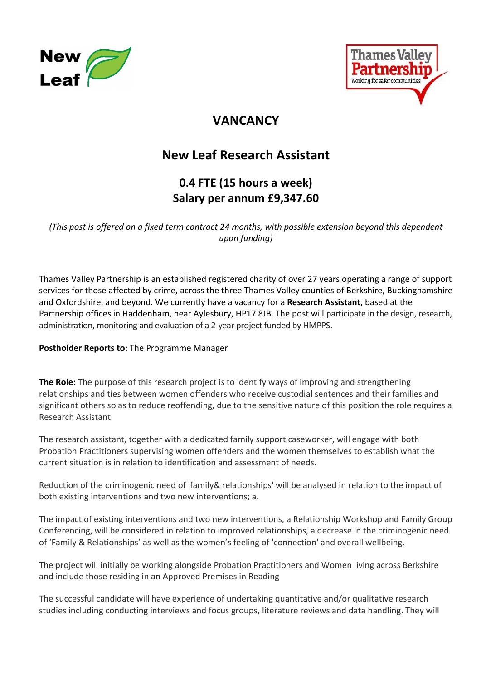



## **VANCANCY**

# New Leaf Research Assistant

# 0.4 FTE (15 hours a week) Salary per annum £9,347.60

(This post is offered on a fixed term contract 24 months, with possible extension beyond this dependent upon funding)

Thames Valley Partnership is an established registered charity of over 27 years operating a range of support services for those affected by crime, across the three Thames Valley counties of Berkshire, Buckinghamshire and Oxfordshire, and beyond. We currently have a vacancy for a Research Assistant, based at the Partnership offices in Haddenham, near Aylesbury, HP17 8JB. The post will participate in the design, research, administration, monitoring and evaluation of a 2-year project funded by HMPPS.

### Postholder Reports to: The Programme Manager

The Role: The purpose of this research project is to identify ways of improving and strengthening relationships and ties between women offenders who receive custodial sentences and their families and significant others so as to reduce reoffending, due to the sensitive nature of this position the role requires a Research Assistant.

The research assistant, together with a dedicated family support caseworker, will engage with both Probation Practitioners supervising women offenders and the women themselves to establish what the current situation is in relation to identification and assessment of needs.

Reduction of the criminogenic need of 'family& relationships' will be analysed in relation to the impact of both existing interventions and two new interventions; a.

The impact of existing interventions and two new interventions, a Relationship Workshop and Family Group Conferencing, will be considered in relation to improved relationships, a decrease in the criminogenic need of 'Family & Relationships' as well as the women's feeling of 'connection' and overall wellbeing.

The project will initially be working alongside Probation Practitioners and Women living across Berkshire and include those residing in an Approved Premises in Reading

The successful candidate will have experience of undertaking quantitative and/or qualitative research studies including conducting interviews and focus groups, literature reviews and data handling. They will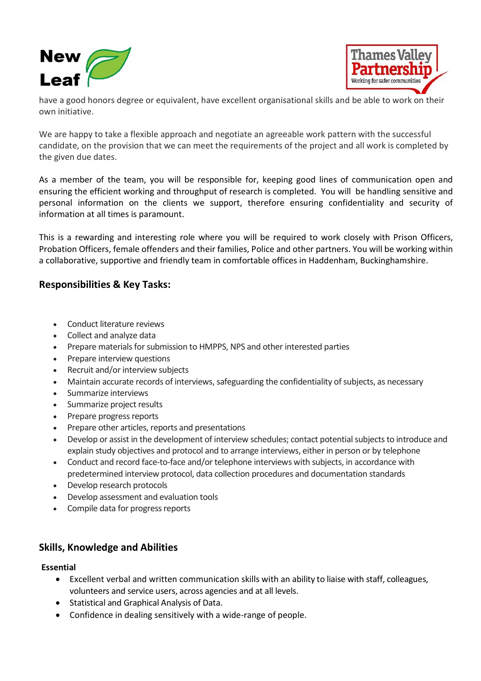



have a good honors degree or equivalent, have excellent organisational skills and be able to work on their own initiative.

We are happy to take a flexible approach and negotiate an agreeable work pattern with the successful candidate, on the provision that we can meet the requirements of the project and all work is completed by the given due dates.

As a member of the team, you will be responsible for, keeping good lines of communication open and ensuring the efficient working and throughput of research is completed. You will be handling sensitive and personal information on the clients we support, therefore ensuring confidentiality and security of information at all times is paramount.

This is a rewarding and interesting role where you will be required to work closely with Prison Officers, Probation Officers, female offenders and their families, Police and other partners. You will be working within a collaborative, supportive and friendly team in comfortable offices in Haddenham, Buckinghamshire.

## Responsibilities & Key Tasks:

- Conduct literature reviews
- Collect and analyze data
- Prepare materials for submission to HMPPS, NPS and other interested parties
- Prepare interview questions
- Recruit and/or interview subjects
- Maintain accurate records of interviews, safeguarding the confidentiality of subjects, as necessary
- Summarize interviews
- Summarize project results
- Prepare progress reports
- Prepare other articles, reports and presentations
- Develop or assist in the development of interview schedules; contact potential subjects to introduce and explain study objectives and protocol and to arrange interviews, either in person or by telephone
- Conduct and record face-to-face and/or telephone interviews with subjects, in accordance with predetermined interview protocol, data collection procedures and documentation standards
- Develop research protocols
- Develop assessment and evaluation tools
- Compile data for progress reports

## Skills, Knowledge and Abilities

#### Essential

- Excellent verbal and written communication skills with an ability to liaise with staff, colleagues, volunteers and service users, across agencies and at all levels.
- Statistical and Graphical Analysis of Data.
- Confidence in dealing sensitively with a wide-range of people.